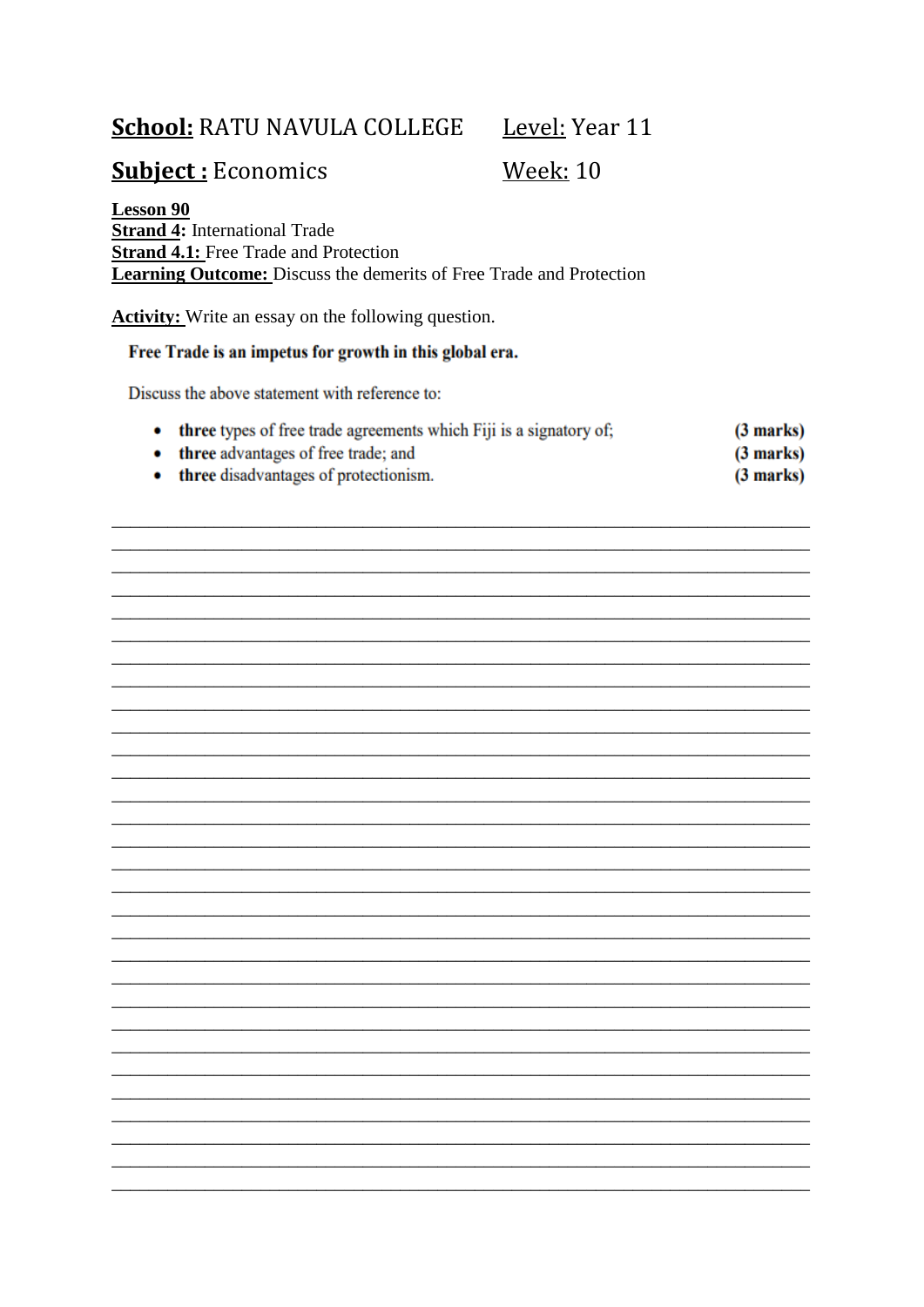# **School: RATU NAVULA COLLEGE**

Level: Year 11

 $(3 marks)$ 

# **Subject: Economics**

**Week: 10** 

**Lesson 90 Strand 4:** International Trade **Strand 4.1:** Free Trade and Protection **Learning Outcome:** Discuss the demerits of Free Trade and Protection

**Activity:** Write an essay on the following question.

### Free Trade is an impetus for growth in this global era.

Discuss the above statement with reference to:

- ۰ three types of free trade agreements which Fiji is a signatory of;  $(3 marks)$
- three advantages of free trade; and ۰
- three disadvantages of protectionism.  $(3 marks)$

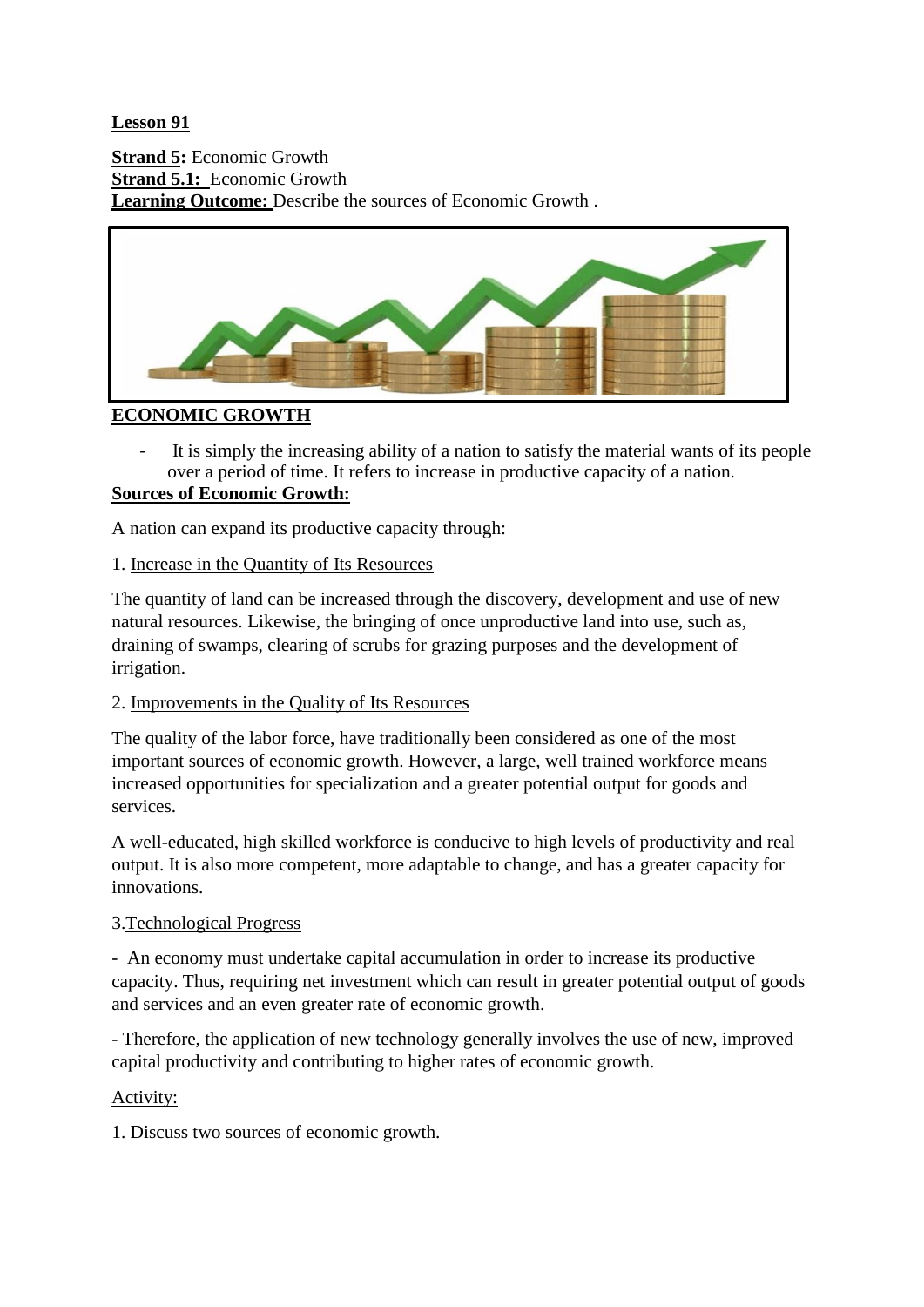**Lesson 91**

**Strand 5:** Economic Growth **Strand 5.1:** Economic Growth Learning Outcome: Describe the sources of Economic Growth.



# **ECONOMIC GROWTH**

It is simply the increasing ability of a nation to satisfy the material wants of its people over a period of time. It refers to increase in productive capacity of a nation.

## **Sources of Economic Growth:**

A nation can expand its productive capacity through:

## 1. Increase in the Quantity of Its Resources

The quantity of land can be increased through the discovery, development and use of new natural resources. Likewise, the bringing of once unproductive land into use, such as, draining of swamps, clearing of scrubs for grazing purposes and the development of irrigation.

#### 2. Improvements in the Quality of Its Resources

The quality of the labor force, have traditionally been considered as one of the most important sources of economic growth. However, a large, well trained workforce means increased opportunities for specialization and a greater potential output for goods and services.

A well-educated, high skilled workforce is conducive to high levels of productivity and real output. It is also more competent, more adaptable to change, and has a greater capacity for innovations.

#### 3.Technological Progress

- An economy must undertake capital accumulation in order to increase its productive capacity. Thus, requiring net investment which can result in greater potential output of goods and services and an even greater rate of economic growth.

- Therefore, the application of new technology generally involves the use of new, improved capital productivity and contributing to higher rates of economic growth.

#### Activity:

1. Discuss two sources of economic growth.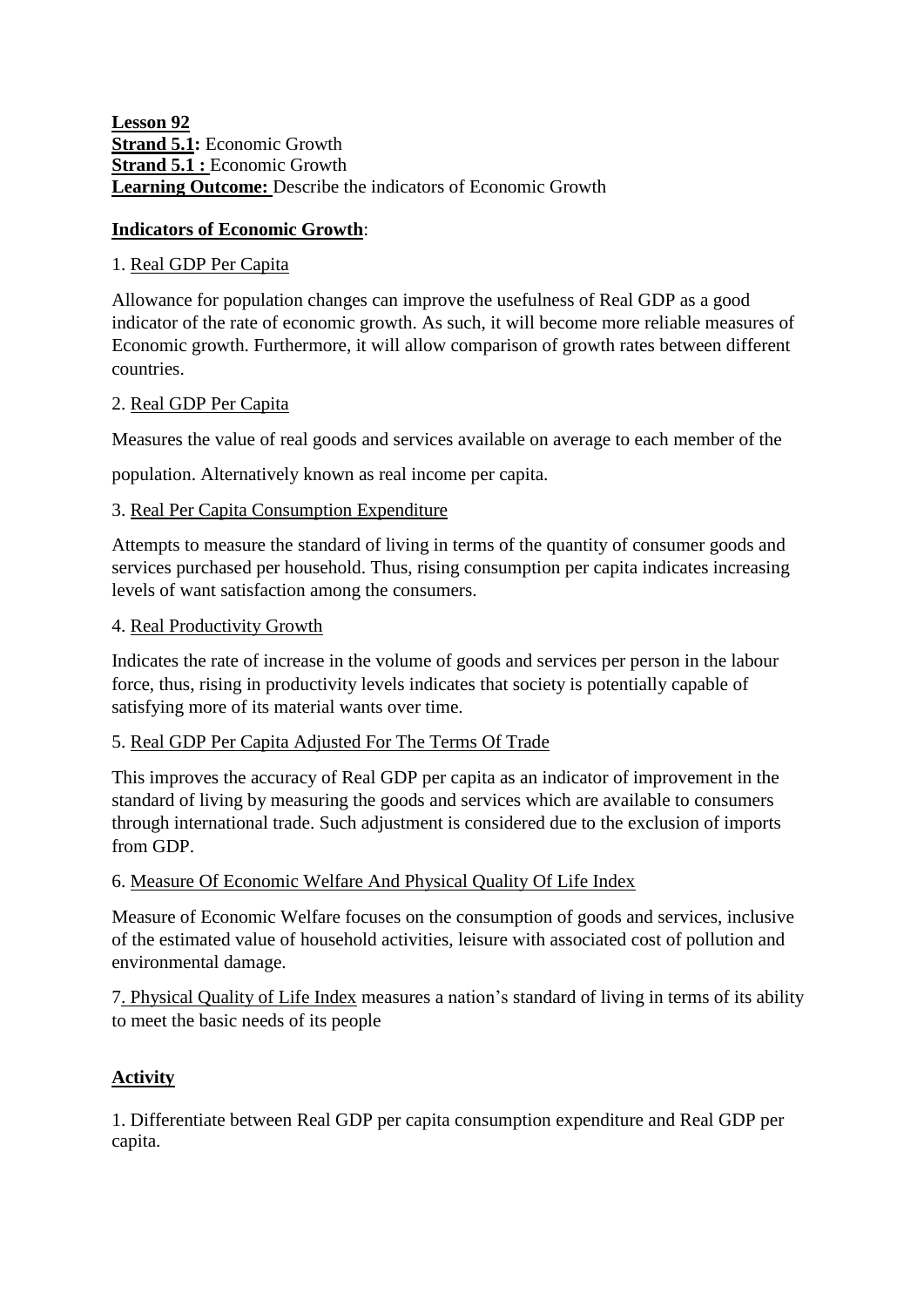**Lesson 92 Strand 5.1:** Economic Growth **Strand 5.1 : Economic Growth** Learning Outcome: Describe the indicators of Economic Growth

## **Indicators of Economic Growth**:

#### 1. Real GDP Per Capita

Allowance for population changes can improve the usefulness of Real GDP as a good indicator of the rate of economic growth. As such, it will become more reliable measures of Economic growth. Furthermore, it will allow comparison of growth rates between different countries.

#### 2. Real GDP Per Capita

Measures the value of real goods and services available on average to each member of the

population. Alternatively known as real income per capita.

#### 3. Real Per Capita Consumption Expenditure

Attempts to measure the standard of living in terms of the quantity of consumer goods and services purchased per household. Thus, rising consumption per capita indicates increasing levels of want satisfaction among the consumers.

#### 4. Real Productivity Growth

Indicates the rate of increase in the volume of goods and services per person in the labour force, thus, rising in productivity levels indicates that society is potentially capable of satisfying more of its material wants over time.

## 5. Real GDP Per Capita Adjusted For The Terms Of Trade

This improves the accuracy of Real GDP per capita as an indicator of improvement in the standard of living by measuring the goods and services which are available to consumers through international trade. Such adjustment is considered due to the exclusion of imports from GDP.

#### 6. Measure Of Economic Welfare And Physical Quality Of Life Index

Measure of Economic Welfare focuses on the consumption of goods and services, inclusive of the estimated value of household activities, leisure with associated cost of pollution and environmental damage.

7. Physical Quality of Life Index measures a nation's standard of living in terms of its ability to meet the basic needs of its people

#### **Activity**

1. Differentiate between Real GDP per capita consumption expenditure and Real GDP per capita.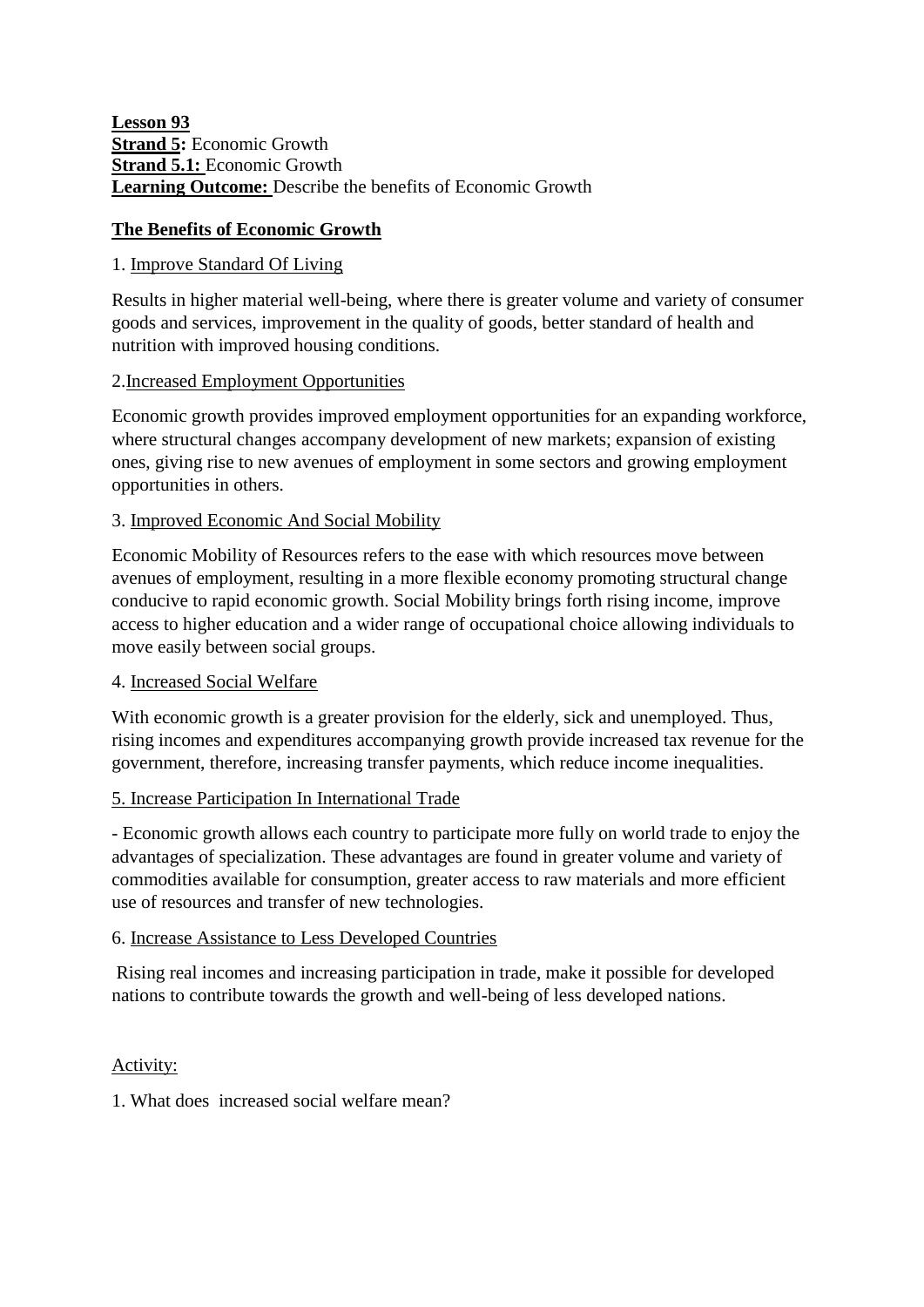#### **Lesson 93 Strand 5:** Economic Growth **Strand 5.1:** Economic Growth Learning Outcome: Describe the benefits of Economic Growth

## **The Benefits of Economic Growth**

#### 1. Improve Standard Of Living

Results in higher material well-being, where there is greater volume and variety of consumer goods and services, improvement in the quality of goods, better standard of health and nutrition with improved housing conditions.

#### 2.Increased Employment Opportunities

Economic growth provides improved employment opportunities for an expanding workforce, where structural changes accompany development of new markets; expansion of existing ones, giving rise to new avenues of employment in some sectors and growing employment opportunities in others.

#### 3. Improved Economic And Social Mobility

Economic Mobility of Resources refers to the ease with which resources move between avenues of employment, resulting in a more flexible economy promoting structural change conducive to rapid economic growth. Social Mobility brings forth rising income, improve access to higher education and a wider range of occupational choice allowing individuals to move easily between social groups.

#### 4. Increased Social Welfare

With economic growth is a greater provision for the elderly, sick and unemployed. Thus, rising incomes and expenditures accompanying growth provide increased tax revenue for the government, therefore, increasing transfer payments, which reduce income inequalities.

#### 5. Increase Participation In International Trade

- Economic growth allows each country to participate more fully on world trade to enjoy the advantages of specialization. These advantages are found in greater volume and variety of commodities available for consumption, greater access to raw materials and more efficient use of resources and transfer of new technologies.

#### 6. Increase Assistance to Less Developed Countries

Rising real incomes and increasing participation in trade, make it possible for developed nations to contribute towards the growth and well-being of less developed nations.

#### Activity:

1. What does increased social welfare mean?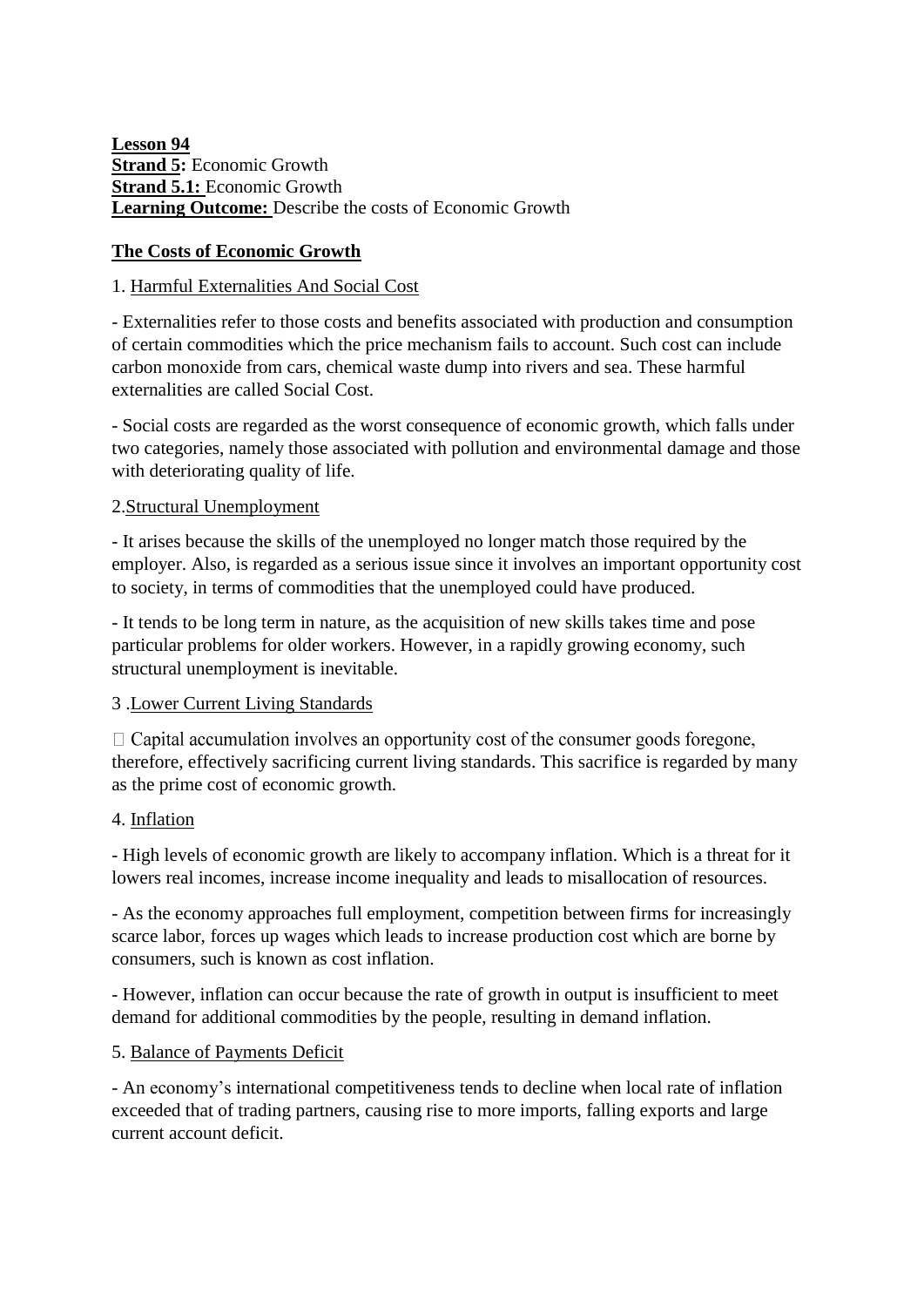**Lesson 94 Strand 5:** Economic Growth **Strand 5.1:** Economic Growth **Learning Outcome:** Describe the costs of Economic Growth

## **The Costs of Economic Growth**

## 1. Harmful Externalities And Social Cost

- Externalities refer to those costs and benefits associated with production and consumption of certain commodities which the price mechanism fails to account. Such cost can include carbon monoxide from cars, chemical waste dump into rivers and sea. These harmful externalities are called Social Cost.

- Social costs are regarded as the worst consequence of economic growth, which falls under two categories, namely those associated with pollution and environmental damage and those with deteriorating quality of life.

#### 2.Structural Unemployment

- It arises because the skills of the unemployed no longer match those required by the employer. Also, is regarded as a serious issue since it involves an important opportunity cost to society, in terms of commodities that the unemployed could have produced.

- It tends to be long term in nature, as the acquisition of new skills takes time and pose particular problems for older workers. However, in a rapidly growing economy, such structural unemployment is inevitable.

## 3 .Lower Current Living Standards

 $\Box$  Capital accumulation involves an opportunity cost of the consumer goods foregone, therefore, effectively sacrificing current living standards. This sacrifice is regarded by many as the prime cost of economic growth.

#### 4. Inflation

- High levels of economic growth are likely to accompany inflation. Which is a threat for it lowers real incomes, increase income inequality and leads to misallocation of resources.

- As the economy approaches full employment, competition between firms for increasingly scarce labor, forces up wages which leads to increase production cost which are borne by consumers, such is known as cost inflation.

- However, inflation can occur because the rate of growth in output is insufficient to meet demand for additional commodities by the people, resulting in demand inflation.

#### 5. Balance of Payments Deficit

- An economy's international competitiveness tends to decline when local rate of inflation exceeded that of trading partners, causing rise to more imports, falling exports and large current account deficit.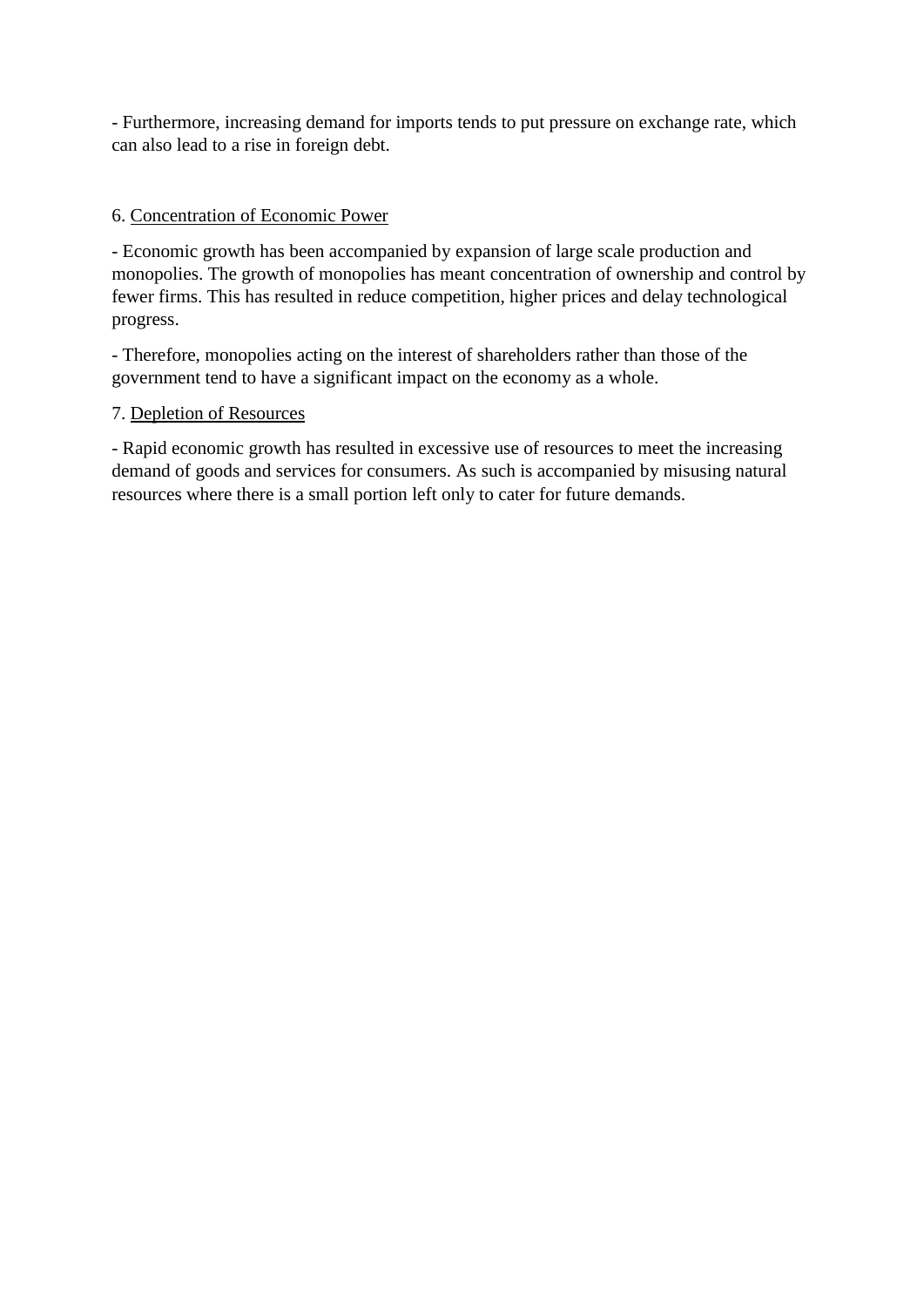- Furthermore, increasing demand for imports tends to put pressure on exchange rate, which can also lead to a rise in foreign debt.

#### 6. Concentration of Economic Power

- Economic growth has been accompanied by expansion of large scale production and monopolies. The growth of monopolies has meant concentration of ownership and control by fewer firms. This has resulted in reduce competition, higher prices and delay technological progress.

- Therefore, monopolies acting on the interest of shareholders rather than those of the government tend to have a significant impact on the economy as a whole.

#### 7. Depletion of Resources

- Rapid economic growth has resulted in excessive use of resources to meet the increasing demand of goods and services for consumers. As such is accompanied by misusing natural resources where there is a small portion left only to cater for future demands.